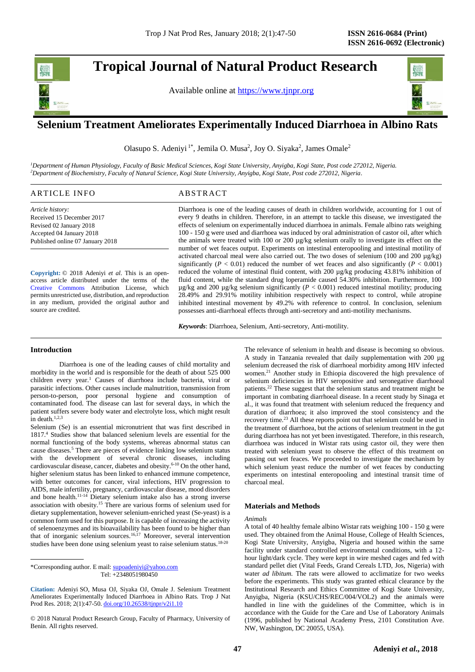# **Tropical Journal of Natural Product Research**

Available online at [https://www.tjnpr.org](https://www.tjnpr.org/)



# . **Selenium Treatment Ameliorates Experimentally Induced Diarrhoea in Albino Rats**

Olasupo S. Adeniyi<sup>1\*</sup>, Jemila O. Musa<sup>2</sup>, Joy O. Siyaka<sup>2</sup>, James Omale<sup>2</sup>

*<sup>1</sup>Department of Human Physiology, Faculty of Basic Medical Sciences, Kogi State University, Anyigba, Kogi State, Post code 272012, Nigeria. <sup>2</sup>Department of Biochemistry, Faculty of Natural Science, Kogi State University, Anyigba, Kogi State, Post code 272012, Nigeria.*

| ARTICLE INFO                     | ABSTRACT                                                                                                        |
|----------------------------------|-----------------------------------------------------------------------------------------------------------------|
| Article history:                 | Diarrhoea is one of the leading causes of death in children worldwide, accounting for 1 out of                  |
| Received 15 December 2017        | every 9 deaths in children. Therefore, in an attempt to tackle this disease, we investigated the                |
| Revised 02 January 2018          | effects of selenium on experimentally induced diarrhoea in animals. Female albino rats weighing                 |
| Accepted 04 January 2018         | 100 - 150 g were used and diarrhoea was induced by oral administration of castor oil, after which               |
| Published online 07 January 2018 | the animals were treated with 100 or 200 $\mu$ g/kg selenium orally to investigate its effect on the            |
|                                  | number of wet feaces output. Experiments on intestinal enteropooling and intestinal motility of                 |
|                                  | activated charcoal meal were also carried out. The two doses of selenium $(100 \text{ and } 200 \text{ µg/kg})$ |
|                                  | significantly ( $P < 0.01$ ) reduced the number of wet feaces and also significantly ( $P < 0.001$ )            |

**Copyright:** © 2018 Adeniyi *et al*. This is an openaccess article distributed under the terms of the [Creative Commons](https://creativecommons.org/licenses/by/4.0/) Attribution License, which permits unrestricted use, distribution, and reproduction in any medium, provided the original author and source are credited.

# reduced the volume of intestinal fluid content, with 200  $\mu$ g/kg producing 43.81% inhibition of fluid content, while the standard drug loperamide caused 54.30% inhibition. Furthermore, 100 µg/kg and 200 µg/kg selenium significantly (*P* < 0.001) reduced intestinal motility; producing 28.49% and 29.91% motility inhibition respectively with respect to control, while atropine inhibited intestinal movement by 49.2% with reference to control. In conclusion, selenium possesses anti-diarrhoeal effects through anti-secretory and anti-motility mechanisms.

*Keywords*: Diarrhoea, Selenium, Anti-secretory, Anti-motility.

### **Introduction**

Diarrhoea is one of the leading causes of child mortality and morbidity in the world and is responsible for the death of about 525 000 children every year.<sup>1</sup> Causes of diarrhoea include bacteria, viral or parasitic infections. Other causes include malnutrition, transmission from person-to-person, poor personal hygiene and consumption of contaminated food. The disease can last for several days, in which the patient suffers severe body water and electrolyte loss, which might result in death. $1,2,3$ 

Selenium (Se) is an essential micronutrient that was first described in 1817. <sup>4</sup> Studies show that balanced selenium levels are essential for the normal functioning of the body systems, whereas abnormal status can cause diseases.<sup>5</sup> There are pieces of evidence linking low selenium status with the development of several chronic diseases, including cardiovascular disease, cancer, diabetes and obesity. 6-10 On the other hand, higher selenium status has been linked to enhanced immune competence, with better outcomes for cancer, viral infections, HIV progression to AIDS, male infertility, pregnancy, cardiovascular disease, mood disorders and bone health.11-14 Dietary selenium intake also has a strong inverse association with obesity.<sup>15</sup> There are various forms of selenium used for dietary supplementation, however selenium-enriched yeast (Se-yeast) is a common form used for this purpose. It is capable of increasing the activity of selenoenzymes and its bioavailability has been found to be higher than that of inorganic selenium sources.16,17 Moreover, several intervention studies have been done using selenium yeast to raise selenium status.<sup>18-20</sup>

\*Corresponding author. E mail[: supoadeniyi@yahoo.com](mailto:supoadeniyi@yahoo.com) Tel: +2348051980450

**Citation:** Adeniyi SO, Musa OJ, Siyaka OJ, Omale J. Selenium Treatment Ameliorates Experimentally Induced Diarrhoea in Albino Rats. Trop J Nat Prod Res. 2018; 2(1):47-50. [doi.org/10.26538/tjnpr/v2i1.1](http://www.doi.org/10.26538/tjnpr/v1i4.5)0

© 2018 Natural Product Research Group, Faculty of Pharmacy, University of Benin. All rights reserved.

The relevance of selenium in health and disease is becoming so obvious. A study in Tanzania revealed that daily supplementation with 200 µg selenium decreased the risk of diarrhoeal morbidity among HIV infected women.<sup>21</sup> Another study in Ethiopia discovered the high prevalence of selenium deficiencies in HIV seropositive and seronegative diarrhoeal patients. <sup>22</sup> These suggest that the selenium status and treatment might be important in combating diarrhoeal disease. In a recent study by Sinaga et al., it was found that treatment with selenium reduced the frequency and duration of diarrhoea; it also improved the stool consistency and the recovery time.<sup>23</sup> All these reports point out that selenium could be used in the treatment of diarrhoea, but the actions of selenium treatment in the gut during diarrhoea has not yet been investigated. Therefore, in this research, diarrhoea was induced in Wistar rats using castor oil, they were then treated with selenium yeast to observe the effect of this treatment on passing out wet feaces. We proceeded to investigate the mechanism by which selenium yeast reduce the number of wet feaces by conducting experiments on intestinal enteropooling and intestinal transit time of charcoal meal.

# **Materials and Methods**

#### *Animals*

A total of 40 healthy female albino Wistar rats weighing 100 - 150 g were used. They obtained from the Animal House, College of Health Sciences, Kogi State University, Anyigba, Nigeria and housed within the same facility under standard controlled environmental conditions, with a 12 hour light/dark cycle. They were kept in wire meshed cages and fed with standard pellet diet (Vital Feeds, Grand Cereals LTD, Jos, Nigeria) with water *ad libitum.* The rats were allowed to acclimatize for two weeks before the experiments. This study was granted ethical clearance by the Institutional Research and Ethics Committee of Kogi State University, Anyigba, Nigeria (KSU/CHS/REC/004/VOL2) and the animals were handled in line with the guidelines of the Committee, which is in accordance with the Guide for the Care and Use of Laboratory Animals (1996, published by National Academy Press, 2101 Constitution Ave. NW, Washington, DC 20055, USA).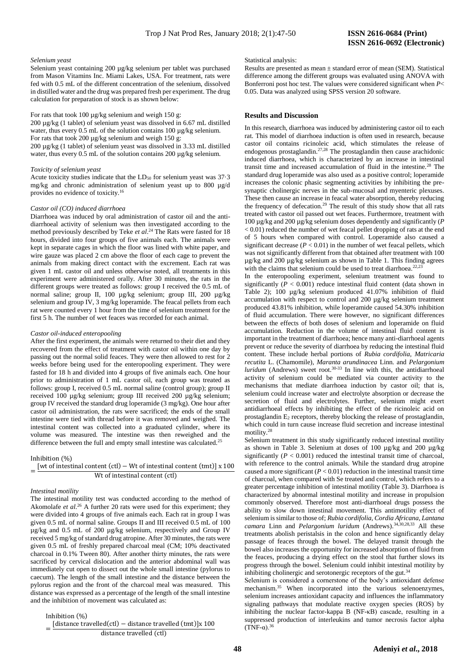#### *Selenium yeast*

Selenium yeast containing 200 µg/kg selenium per tablet was purchased from Mason Vitamins Inc. Miami Lakes, USA. For treatment, rats were fed with 0.5 mL of the different concentration of the selenium, dissolved in distilled water and the drug was prepared fresh per experiment. The drug calculation for preparation of stock is as shown below:

For rats that took 100 µg/kg selenium and weigh 150 g:

200 µg/kg (1 tablet) of selenium yeast was dissolved in 6.67 mL distilled water, thus every 0.5 mL of the solution contains 100 µg/kg selenium. For rats that took 200 µg/kg selenium and weigh 150 g:

200 µg/kg (1 tablet) of selenium yeast was dissolved in 3.33 mL distilled water, thus every 0.5 mL of the solution contains 200 µg/kg selenium.

#### *Toxicity of selenium yeast*

Acute toxicity studies indicate that the  $LD_{50}$  for selenium yeast was 37.3 mg/kg and chronic administration of selenium yeast up to 800 µg/d provides no evidence of toxicity.<sup>16</sup>

#### *Castor oil (CO) induced diarrhoea*

Diarrhoea was induced by oral administration of castor oil and the antidiarrhoeal activity of selenium was then investigated according to the method previously described by Teke *et al*. <sup>24</sup> The Rats were fasted for 18 hours, divided into four groups of five animals each. The animals were kept in separate cages in which the floor was lined with white paper, and wire gauze was placed 2 cm above the floor of each cage to prevent the animals from making direct contact with the excrement. Each rat was given 1 mL castor oil and unless otherwise noted, all treatments in this experiment were administered orally. After 30 minutes, the rats in the different groups were treated as follows: group I received the 0.5 mL of normal saline; group II, 100 µg/kg selenium; group III, 200 µg/kg selenium and group IV, 3 mg/kg loperamide. The feacal pellets from each rat were counted every 1 hour from the time of selenium treatment for the first 5 h. The number of wet feaces was recorded for each animal.

#### *Castor oil-induced enteropooling*

After the first experiment, the animals were returned to their diet and they recovered from the effect of treatment with castor oil within one day by passing out the normal solid feaces. They were then allowed to rest for 2 weeks before being used for the enteropooling experiment. They were fasted for 18 h and divided into 4 groups of five animals each. One hour prior to administration of 1 mL castor oil, each group was treated as follows: group I, received 0.5 mL normal saline (control group); group II received 100 µg/kg selenium; group III received 200 µg/kg selenium; group IV received the standard drug loperamide (3 mg/kg). One hour after castor oil administration, the rats were sacrificed; the ends of the small intestine were tied with thread before it was removed and weighed. The intestinal content was collected into a graduated cylinder, where its volume was measured. The intestine was then reweighed and the difference between the full and empty small intestine was calculated.<sup>25</sup>

#### Inhibition (%)

### $=\frac{\left[wt\text{ of }intestinal\text{ content }(ct)}-Wt\text{ of }intestinal\text{ content }(tmt)\right] \times 100}{Wt\text{ of }intestical\text{ content }(ct)}$ Wt of intestinal content (ctl)

#### *Intestinal motility*

The intestinal motility test was conducted according to the method of Akomolafe *et al*. <sup>26</sup> A further 20 rats were used for this experiment; they were divided into 4 groups of five animals each. Each rat in group I was given 0.5 mL of normal saline. Groups II and III received 0.5 mL of 100 µg/kg and 0.5 mL of 200 µg/kg selenium, respectively and Group IV received 5 mg/kg of standard drug atropine. After 30 minutes, the rats were given 0.5 mL of freshly prepared charcoal meal (CM; 10% deactivated charcoal in 0.1% Tween 80). After another thirty minutes, the rats were sacrificed by cervical dislocation and the anterior abdominal wall was immediately cut open to dissect out the whole small intestine (pylorus to caecum). The length of the small intestine and the distance between the pylorus region and the front of the charcoal meal was measured. This distance was expressed as a percentage of the length of the small intestine and the inhibition of movement was calculated as:

Inhibition (%)

= [distance travelled(ctl) – distance travelled (tmt)]x 100 distance travelled (ctl)

#### Statistical analysis:

Results are presented as mean ± standard error of mean (SEM). Statistical difference among the different groups was evaluated using ANOVA with Bonferroni post hoc test. The values were considered significant when *P*< 0.05. Data was analyzed using SPSS version 20 software.

#### **Results and Discussion**

In this research, diarrhoea was induced by administering castor oil to each rat. This model of diarrhoea induction is often used in research, because castor oil contains ricinoleic acid, which stimulates the release of endogenous prostaglandin.27,28 The prostaglandin then cause arachidonic induced diarrhoea, which is characterized by an increase in intestinal transit time and increased accumulation of fluid in the intestine.<sup>28</sup> The standard drug loperamide was also used as a positive control; loperamide increases the colonic phasic segmenting activities by inhibiting the presynaptic cholinergic nerves in the sub-mucosal and myenteric plexuses. These then cause an increase in feacal water absorption, thereby reducing the frequency of defecation.<sup>29</sup> The result of this study show that all rats treated with castor oil passed out wet feaces. Furthermore, treatment with 100 µg/kg and 200 µg/kg selenium doses dependently and significantly (*P*   $< 0.01$ ) reduced the number of wet feacal pellet dropping of rats at the end of 5 hours when compared with control. Loperamide also caused a significant decrease  $(P < 0.01)$  in the number of wet feacal pellets, which was not significantly different from that obtained after treatment with 100 µg/kg and 200 µg/kg selenium as shown in Table 1. This finding agrees with the claims that selenium could be used to treat diarrhoea.<sup>22,2</sup>

In the enteropooling experiment, selenium treatment was found to significantly  $(P < 0.001)$  reduce intestinal fluid content (data shown in Table 2); 100 µg/kg selenium produced 41.07% inhibition of fluid accumulation with respect to control and 200 µg/kg selenium treatment produced 43.81% inhibition, while loperamide caused 54.30% inhibition of fluid accumulation. There were however, no significant differences between the effects of both doses of selenium and loperamide on fluid accumulation. Reduction in the volume of intestinal fluid content is important in the treatment of diarrhoea; hence many anti-diarrhoeal agents prevent or reduce the severity of diarrhoea by reducing the intestinal fluid content. These include herbal portions of *Rubia cordifolia, Matricaria recutita* L. (Chamomile), *Maranta arundinacea* Linn. and *Pelargonium*   $luri$  (Andrews) sweet root.<sup>30-33</sup> In line with this, the antidiarchoealactivity of selenium could be mediated via counter activity to the mechanisms that mediate diarrhoea induction by castor oil; that is, selenium could increase water and electrolyte absorption or decrease the secretion of fluid and electrolytes. Further, selenium might exert antidiarrhoeal effects by inhibiting the effect of the ricinoleic acid on prostaglandin  $E_2$  receptors, thereby blocking the release of prostaglandin, which could in turn cause increase fluid secretion and increase intestinal motility.<sup>28</sup>

Selenium treatment in this study significantly reduced intestinal motility as shown in Table 3. Selenium at doses of 100 µg/kg and 200 µg/kg significantly  $(P < 0.001)$  reduced the intestinal transit time of charcoal, with reference to the control animals. While the standard drug atropine caused a more significant  $(P < 0.01)$  reduction in the intestinal transit time of charcoal, when compared with Se treated and control, which refers to a greater percentage inhibition of intestinal motility (Table 3). Diarrhoea is characterized by abnormal intestinal motility and increase in propulsion commonly observed. Therefore most anti-diarrhoeal drugs possess the ability to slow down intestinal movement. This antimotility effect of selenium is similar to those of; *Rubia cordifolia, Cordia Africana, Lantana camara* Linn and *Pelargonium luridum* (Andrews).34,30,28,33 All these treatments abolish peristalsis in the colon and hence significantly delay passage of feaces through the bowel. The delayed transit through the bowel also increases the opportunity for increased absorption of fluid from the feaces, producing a drying effect on the stool that further slows its progress through the bowel. Selenium could inhibit intestinal motility by inhibiting cholinergic and serotonergic receptors of the gut.<sup>34</sup>

Selenium is considered a cornerstone of the body's antioxidant defense mechanism.<sup>35</sup> When incorporated into the various selenoenzymes, selenium increases antioxidant capacity and influences the inflammatory signaling pathways that modulate reactive oxygen species (ROS) by inhibiting the nuclear factor-kappa B (NF-κB) cascade, resulting in a suppressed production of interleukins and tumor necrosis factor alpha (TNF-α).<sup>36</sup>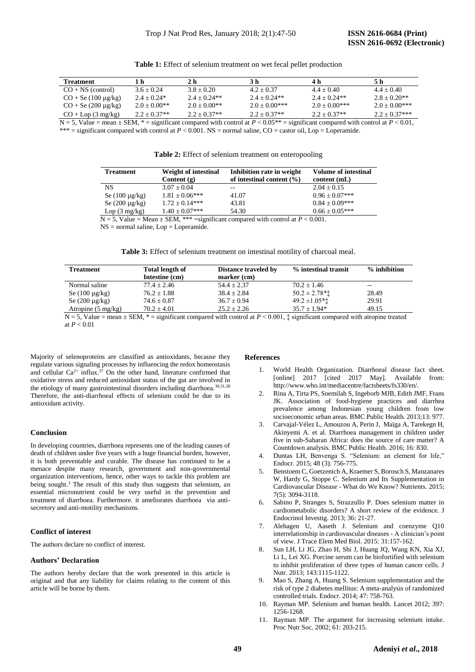| Treatment                          |                | 2 h            | 3 h              | 4 h              | 5 h              |
|------------------------------------|----------------|----------------|------------------|------------------|------------------|
| $CO + NS$ (control)                | $3.6 + 0.24$   | $3.8 + 0.20$   | $4.2 + 0.37$     | $4.4 + 0.40$     | $4.4 + 0.40$     |
| $CO +$ Se (100 $\mu$ g/kg)         | $2.4 + 0.24*$  | $2.4 + 0.24**$ | $2.4 + 0.24**$   | $2.4 + 0.24**$   | $2.8 + 0.20**$   |
| $CO + Se(200 \mu g/kg)$            | $2.0 + 0.00**$ | $2.0 + 0.00**$ | $2.0 + 0.00$ *** | $2.0 + 0.00$ *** | $2.0 + 0.00$ *** |
| $CO + \text{Lop}(3 \text{ mg/kg})$ | $2.2 + 0.37**$ | $2.2 + 0.37**$ | $2.2 + 0.37**$   | $2.2 + 0.37**$   | $2.2 + 0.37***$  |

**Table 1:** Effect of selenium treatment on wet fecal pellet production

N = 5, Value = mean  $\pm$  SEM,  $*$  = significant compared with control at  $P < 0.05**$  = significant compared with control at  $P < 0.01$ , \*\*\* = significant compared with control at  $P < 0.001$ . NS = normal saline, CO = castor oil, Lop = Loperamide.

**Table 2:** Effect of selenium treatment on enteropooling

| <b>Treatment</b>                                                                           | <b>Weight of intestinal</b> | Inhibition rate in weight     | <b>Volume of intestinal</b> |  |  |
|--------------------------------------------------------------------------------------------|-----------------------------|-------------------------------|-----------------------------|--|--|
|                                                                                            | Content $(g)$               | of intestinal content $(\% )$ | content(mL)                 |  |  |
| <b>NS</b>                                                                                  | $3.07 \pm 0.04$             |                               | $2.04 \pm 0.15$             |  |  |
| Se $(100 \mu g/kg)$                                                                        | $1.81 \pm 0.06***$          | 41.07                         | $0.96 \pm 0.07***$          |  |  |
| Se $(200 \mu g/kg)$                                                                        | $1.72 \pm 0.14***$          | 43.81                         | $0.84 \pm 0.09***$          |  |  |
| Lop(3 mg/kg)                                                                               | $1.40 \pm 0.07$ ***         | 54.30                         | $0.66 \pm 0.05***$          |  |  |
| $N = 5$ , Value = Mean $\pm$ SEM, *** = significant compared with control at $P < 0.001$ . |                             |                               |                             |  |  |

NS = normal saline, Lop = Loperamide.

**Table 3:** Effect of selenium treatment on intestinal motility of charcoal meal.

| <b>Treatment</b>             | <b>Total length of</b><br>Intestine (cm) | Distance traveled by<br>$marker$ (cm) | % intestinal transit          | % inhibition |
|------------------------------|------------------------------------------|---------------------------------------|-------------------------------|--------------|
| Normal saline                | $77.4 + 2.46$                            | $54.4 + 2.37$                         | $70.2 \pm 1.46$               | $- -$        |
| Se $(100 \mu g/kg)$          | $76.2 + 1.88$                            | $38.4 + 2.84$                         | $50.2 \pm 2.78$ <sup>**</sup> | 28.49        |
| Se $(200 \mu g/kg)$          | $74.6 \pm 0.87$                          | $36.7 \pm 0.94$                       | $49.2 \pm 1.05$ **            | 29.91        |
| Atropine $(5 \text{ mg/kg})$ | $70.2 + 4.01$                            | $25.2 + 2.26$                         | $35.7 + 1.94*$                | 49.15        |

 $N = 5$ , Value = mean  $\pm$  SEM,  $* =$  significant compared with control at  $P \le 0.001$ ,  $\pm$  significant compared with atropine treated at *P* < 0.01

Majority of selenoproteins are classified as antioxidants, because they regulate various signaling processes by influencing the redox homeostasis and cellular  $Ca^{2+}$  influx.<sup>37</sup> On the other hand, literature confirmed that oxidative stress and reduced antioxidant status of the gut are involved in the etiology of many gastrointestinal disorders including diarrhoea.<sup>30,31,38</sup> Therefore, the anti-diarrhoeal effects of selenium could be due to its antioxidant activity.

# **Conclusion**

In developing countries, diarrhoea represents one of the leading causes of death of children under five years with a huge financial burden, however, it is both preventable and curable. The disease has continued to be a menace despite many research, government and non-governmental organization interventions, hence, other ways to tackle this problem are being sought.<sup>3</sup> The result of this study thus suggests that selenium, an essential micronutrient could be very useful in the prevention and treatment of diarrhoea. Furthermore. it ameliorates diarrhoea via antisecretory and anti-motility mechanisms.

# **Conflict of interest**

The authors declare no conflict of interest.

# **Authors' Declaration**

The authors hereby declare that the work presented in this article is original and that any liability for claims relating to the content of this article will be borne by them.

#### **References**

- 1. World Health Organization. Diarrhoeal disease fact sheet. [online] 2017 [cited 2017 May]. Available from: http://www.who.int/mediacentre/factsheets/fs330/en/.
- 2. Rina A, Tirta PS, Soemilah S, Ingeborb MJB, Edith JMF, Frans JK. Association of food-hygiene practices and diarrhea prevalence among Indonesian young children from low socioeconomic urban areas. BMC Public Health. 2013;13: 977.
- 3. Carvajal-Vélez L, Amouzou A, Perin J, Maïga A, Tarekegn H, Akinyemi A. et al. Diarrhoea management in children under five in sub-Saharan Africa: does the source of care matter? A Countdown analysis. BMC Public Health. 2016; 16: 830.
- 4. Duntas LH, Benvenga S. "Selenium: an element for life," Endocr. 2015; 48 (3): 756-775.
- 5. Benstoem C, Goetzenich A, Kraemer S, Borosch S, Manzanares W, Hardy G, Stoppe C. Selenium and Its Supplementation in Cardiovascular Disease - What do We Know? Nutrients. 2015; 7(5): 3094-3118.
- 6. Sabino P, Stranges S, Strazzullo P. Does selenium matter in cardiometabolic disorders? A short review of the evidence. J Endocrinol Investig. 2013; 36: 21-27.
- 7. Alehagen U, Aaseth J. Selenium and coenzyme Q10 interrelationship in cardiovascular diseases - A clinician's point of view. J Trace Elem Med Biol. 2015: 31:157-162.
- 8. Sun LH, Li JG, Zhao H, Shi J, Huang JQ, Wang KN, Xia XJ, Li L, Lei XG. Porcine serum can be biofortified with selenium to inhibit proliferation of three types of human cancer cells. J Nutr. 2013; 143:1115-1122.
- 9. Mao S, Zhang A, Huang S. Selenium supplementation and the risk of type 2 diabetes mellitus: A meta-analysis of randomized controlled trials. Endocr. 2014; 47: 758-763.
- 10. Rayman MP. Selenium and human health. Lancet 2012; 397: 1256-1268.
- 11. Rayman MP. The argument for increasing selenium intake. Proc Nutr Soc. 2002; 61: 203-215.